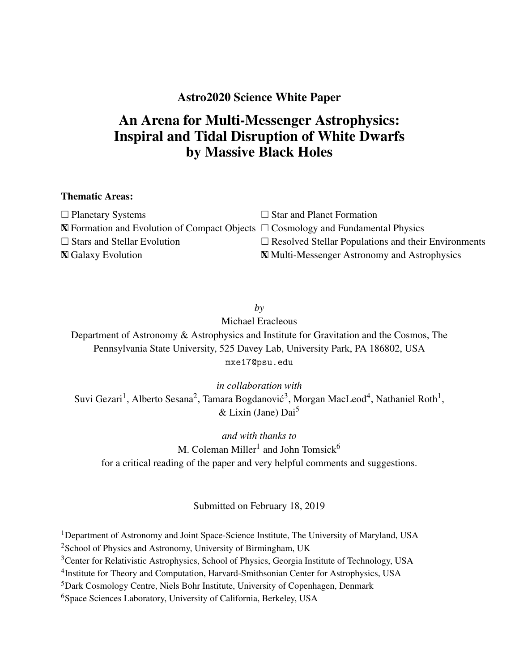## Astro2020 Science White Paper

# An Arena for Multi-Messenger Astrophysics: Inspiral and Tidal Disruption of White Dwarfs by Massive Black Holes

### Thematic Areas:

| $\Box$ Planetary Systems                                                                        | $\Box$ Star and Planet Formation                           |
|-------------------------------------------------------------------------------------------------|------------------------------------------------------------|
| $\mathbb X$ Formation and Evolution of Compact Objects $\Box$ Cosmology and Fundamental Physics |                                                            |
| $\Box$ Stars and Stellar Evolution                                                              | $\Box$ Resolved Stellar Populations and their Environments |
| <b>X</b> Galaxy Evolution                                                                       | <b>X</b> Multi-Messenger Astronomy and Astrophysics        |

*by* Michael Eracleous Department of Astronomy & Astrophysics and Institute for Gravitation and the Cosmos, The Pennsylvania State University, 525 Davey Lab, University Park, PA 186802, USA mxe17@psu.edu

*in collaboration with* Suvi Gezari<sup>1</sup>, Alberto Sesana<sup>2</sup>, Tamara Bogdanović<sup>3</sup>, Morgan MacLeod<sup>4</sup>, Nathaniel Roth<sup>1</sup>,  $&$  Lixin (Jane) Dai<sup>5</sup>

*and with thanks to* M. Coleman Miller<sup>1</sup> and John Tomsick<sup>6</sup> for a critical reading of the paper and very helpful comments and suggestions.

Submitted on February 18, 2019

<sup>1</sup>Department of Astronomy and Joint Space-Science Institute, The University of Maryland, USA

 $2$ School of Physics and Astronomy, University of Birmingham, UK

<sup>3</sup>Center for Relativistic Astrophysics, School of Physics, Georgia Institute of Technology, USA

<sup>4</sup>Institute for Theory and Computation, Harvard-Smithsonian Center for Astrophysics, USA

<sup>5</sup>Dark Cosmology Centre, Niels Bohr Institute, University of Copenhagen, Denmark

<sup>6</sup>Space Sciences Laboratory, University of California, Berkeley, USA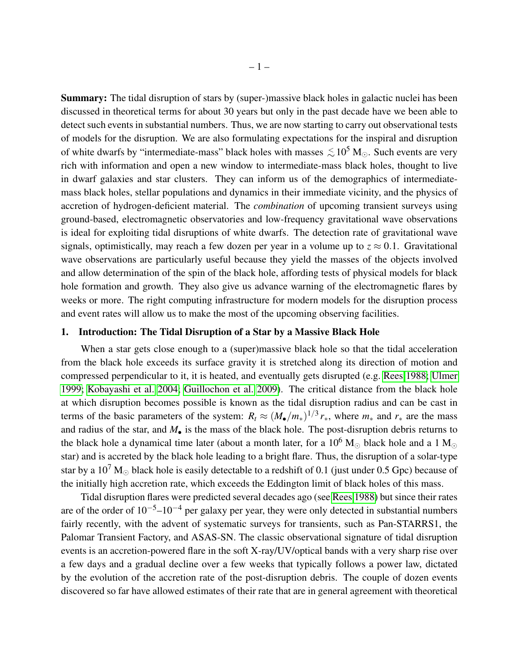Summary: The tidal disruption of stars by (super-)massive black holes in galactic nuclei has been discussed in theoretical terms for about 30 years but only in the past decade have we been able to detect such events in substantial numbers. Thus, we are now starting to carry out observational tests of models for the disruption. We are also formulating expectations for the inspiral and disruption of white dwarfs by "intermediate-mass" black holes with masses  $\lesssim 10^5$  M... Such events are very rich with information and open a new window to intermediate-mass black holes, thought to live in dwarf galaxies and star clusters. They can inform us of the demographics of intermediatemass black holes, stellar populations and dynamics in their immediate vicinity, and the physics of accretion of hydrogen-deficient material. The *combination* of upcoming transient surveys using ground-based, electromagnetic observatories and low-frequency gravitational wave observations is ideal for exploiting tidal disruptions of white dwarfs. The detection rate of gravitational wave signals, optimistically, may reach a few dozen per year in a volume up to  $z \approx 0.1$ . Gravitational wave observations are particularly useful because they yield the masses of the objects involved and allow determination of the spin of the black hole, affording tests of physical models for black hole formation and growth. They also give us advance warning of the electromagnetic flares by weeks or more. The right computing infrastructure for modern models for the disruption process and event rates will allow us to make the most of the upcoming observing facilities.

#### 1. Introduction: The Tidal Disruption of a Star by a Massive Black Hole

When a star gets close enough to a (super)massive black hole so that the tidal acceleration from the black hole exceeds its surface gravity it is stretched along its direction of motion and compressed perpendicular to it, it is heated, and eventually gets disrupted (e.g. [Rees 1988;](#page-7-0) [Ulmer](#page-7-1) [1999;](#page-7-1) [Kobayashi et al. 2004;](#page-7-2) [Guillochon et al. 2009\)](#page-6-0). The critical distance from the black hole at which disruption becomes possible is known as the tidal disruption radius and can be cast in terms of the basic parameters of the system:  $R_t \approx (M_{\bullet}/m_*)^{1/3} r_*$ , where  $m_*$  and  $r_*$  are the mass and radius of the star, and  $M_{\bullet}$  is the mass of the black hole. The post-disruption debris returns to the black hole a dynamical time later (about a month later, for a  $10^6$  M<sub>o</sub> black hole and a 1 M<sub>o</sub> star) and is accreted by the black hole leading to a bright flare. Thus, the disruption of a solar-type star by a 10<sup>7</sup> M<sub>o</sub> black hole is easily detectable to a redshift of 0.1 (just under 0.5 Gpc) because of the initially high accretion rate, which exceeds the Eddington limit of black holes of this mass.

Tidal disruption flares were predicted several decades ago (see [Rees 1988\)](#page-7-0) but since their rates are of the order of  $10^{-5}$ – $10^{-4}$  per galaxy per year, they were only detected in substantial numbers fairly recently, with the advent of systematic surveys for transients, such as Pan-STARRS1, the Palomar Transient Factory, and ASAS-SN. The classic observational signature of tidal disruption events is an accretion-powered flare in the soft X-ray/UV/optical bands with a very sharp rise over a few days and a gradual decline over a few weeks that typically follows a power law, dictated by the evolution of the accretion rate of the post-disruption debris. The couple of dozen events discovered so far have allowed estimates of their rate that are in general agreement with theoretical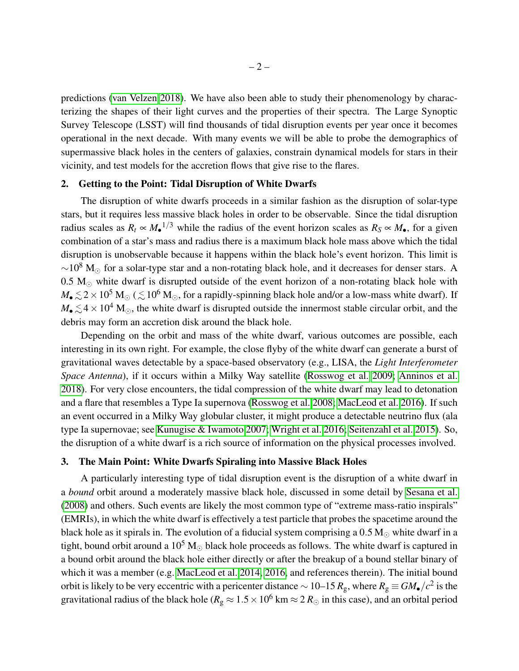predictions [\(van Velzen 2018\)](#page-8-0). We have also been able to study their phenomenology by characterizing the shapes of their light curves and the properties of their spectra. The Large Synoptic Survey Telescope (LSST) will find thousands of tidal disruption events per year once it becomes operational in the next decade. With many events we will be able to probe the demographics of supermassive black holes in the centers of galaxies, constrain dynamical models for stars in their vicinity, and test models for the accretion flows that give rise to the flares.

#### 2. Getting to the Point: Tidal Disruption of White Dwarfs

The disruption of white dwarfs proceeds in a similar fashion as the disruption of solar-type stars, but it requires less massive black holes in order to be observable. Since the tidal disruption radius scales as  $R_t \propto M_{\bullet}^{-1/3}$  while the radius of the event horizon scales as  $R_s \propto M_{\bullet}$ , for a given combination of a star's mass and radius there is a maximum black hole mass above which the tidal disruption is unobservable because it happens within the black hole's event horizon. This limit is  $\sim$ 10<sup>8</sup> M<sub>☉</sub> for a solar-type star and a non-rotating black hole, and it decreases for denser stars. A  $0.5 M_{\odot}$  white dwarf is disrupted outside of the event horizon of a non-rotating black hole with  $M_\bullet \lesssim 2\times10^5$  M<sub>☉</sub> (  $\lesssim10^6$  M<sub>☉</sub>, for a rapidly-spinning black hole and/or a low-mass white dwarf). If  $M_{\bullet} \lesssim 4 \times 10^4$  M<sub>☉</sub>, the white dwarf is disrupted outside the innermost stable circular orbit, and the debris may form an accretion disk around the black hole.

Depending on the orbit and mass of the white dwarf, various outcomes are possible, each interesting in its own right. For example, the close flyby of the white dwarf can generate a burst of gravitational waves detectable by a space-based observatory (e.g., LISA, the *Light Interferometer Space Antenna*), if it occurs within a Milky Way satellite [\(Rosswog et al. 2009;](#page-7-3) [Anninos et al.](#page-6-1) [2018\)](#page-6-1). For very close encounters, the tidal compression of the white dwarf may lead to detonation and a flare that resembles a Type Ia supernova [\(Rosswog et al. 2008;](#page-7-4) [MacLeod et al. 2016\)](#page-7-5). If such an event occurred in a Milky Way globular cluster, it might produce a detectable neutrino flux (ala type Ia supernovae; see [Kunugise & Iwamoto 2007;](#page-7-6) [Wright et al. 2016;](#page-8-1) [Seitenzahl et al. 2015\)](#page-7-7). So, the disruption of a white dwarf is a rich source of information on the physical processes involved.

#### <span id="page-2-0"></span>3. The Main Point: White Dwarfs Spiraling into Massive Black Holes

A particularly interesting type of tidal disruption event is the disruption of a white dwarf in a *bound* orbit around a moderately massive black hole, discussed in some detail by [Sesana et al.](#page-7-8) [\(2008\)](#page-7-8) and others. Such events are likely the most common type of "extreme mass-ratio inspirals" (EMRIs), in which the white dwarf is effectively a test particle that probes the spacetime around the black hole as it spirals in. The evolution of a fiducial system comprising a  $0.5 M_{\odot}$  white dwarf in a tight, bound orbit around a  $10^5$  M<sub> $\odot$ </sub> black hole proceeds as follows. The white dwarf is captured in a bound orbit around the black hole either directly or after the breakup of a bound stellar binary of which it was a member (e.g. [MacLeod et al. 2014,](#page-7-9) [2016,](#page-7-5) and references therein). The initial bound orbit is likely to be very eccentric with a pericenter distance  $\sim$  10−15  $R_{\rm g}$ , where  $R_{\rm g}\equiv GM_{\bullet}/c^2$  is the gravitational radius of the black hole ( $R_g \approx 1.5 \times 10^6$  km  $\approx 2 R_\odot$  in this case), and an orbital period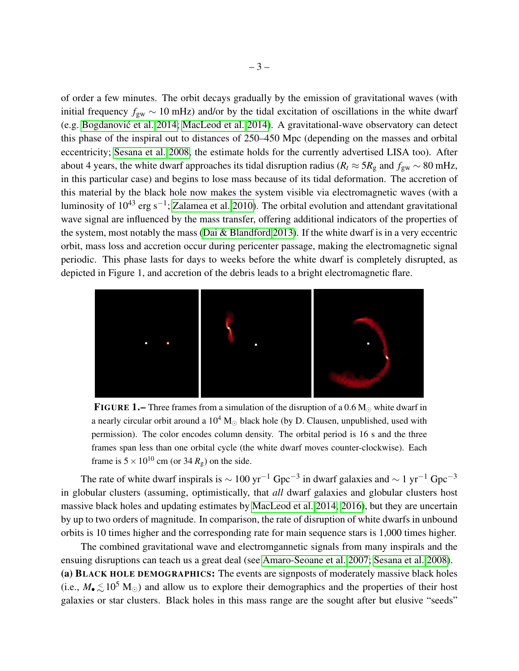of order a few minutes. The orbit decays gradually by the emission of gravitational waves (with initial frequency *f*gw ∼ 10 mHz) and/or by the tidal excitation of oscillations in the white dwarf (e.g. Bogdanović et al. 2014; [MacLeod et al. 2014\)](#page-7-9). A gravitational-wave observatory can detect this phase of the inspiral out to distances of 250–450 Mpc (depending on the masses and orbital eccentricity; [Sesana et al. 2008,](#page-7-8) the estimate holds for the currently advertised LISA too). After about 4 years, the white dwarf approaches its tidal disruption radius ( $R_t \approx 5R_g$  and  $f_{gw} \sim 80$  mHz, in this particular case) and begins to lose mass because of its tidal deformation. The accretion of this material by the black hole now makes the system visible via electromagnetic waves (with a luminosity of 10<sup>43</sup> erg s<sup>-1</sup>; [Zalamea et al. 2010\)](#page-8-2). The orbital evolution and attendant gravitational wave signal are influenced by the mass transfer, offering additional indicators of the properties of the system, most notably the mass [\(Dai & Blandford 2013\)](#page-6-3). If the white dwarf is in a very eccentric orbit, mass loss and accretion occur during pericenter passage, making the electromagnetic signal periodic. This phase lasts for days to weeks before the white dwarf is completely disrupted, as depicted in Figure 1, and accretion of the debris leads to a bright electromagnetic flare.



**FIGURE 1.** Three frames from a simulation of the disruption of a  $0.6 M_{\odot}$  white dwarf in a nearly circular orbit around a  $10^4$  M<sub> $\odot$ </sub> black hole (by D. Clausen, unpublished, used with permission). The color encodes column density. The orbital period is 16 s and the three frames span less than one orbital cycle (the white dwarf moves counter-clockwise). Each frame is  $5 \times 10^{10}$  cm (or 34  $R_g$ ) on the side.

The rate of white dwarf inspirals is  $\sim 100$  yr<sup>-1</sup> Gpc<sup>-3</sup> in dwarf galaxies and  $\sim 1$  yr<sup>-1</sup> Gpc<sup>-3</sup> in globular clusters (assuming, optimistically, that *all* dwarf galaxies and globular clusters host massive black holes and updating estimates by [MacLeod et al. 2014,](#page-7-9) [2016\)](#page-7-5), but they are uncertain by up to two orders of magnitude. In comparison, the rate of disruption of white dwarfs in unbound orbits is 10 times higher and the corresponding rate for main sequence stars is 1,000 times higher.

The combined gravitational wave and electromgannetic signals from many inspirals and the ensuing disruptions can teach us a great deal (see [Amaro-Seoane et al. 2007;](#page-6-4) [Sesana et al. 2008\)](#page-7-8). (a) BLACK HOLE DEMOGRAPHICS: The events are signposts of moderately massive black holes (i.e.,  $M_{\bullet} \lesssim 10^5$  M<sub>☉</sub>) and allow us to explore their demographics and the properties of their host galaxies or star clusters. Black holes in this mass range are the sought after but elusive "seeds"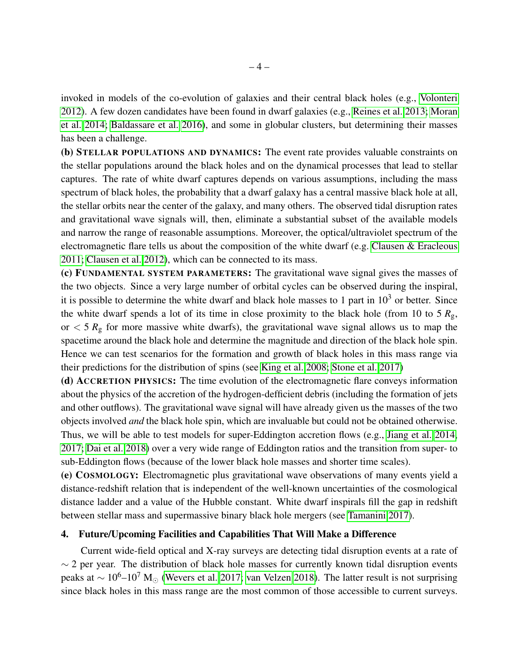invoked in models of the co-evolution of galaxies and their central black holes (e.g., [Volonteri](#page-8-3) [2012\)](#page-8-3). A few dozen candidates have been found in dwarf galaxies (e.g., [Reines et al. 2013;](#page-7-10) [Moran](#page-7-11) [et al. 2014;](#page-7-11) [Baldassare et al. 2016\)](#page-6-5), and some in globular clusters, but determining their masses has been a challenge.

(b) STELLAR POPULATIONS AND DYNAMICS: The event rate provides valuable constraints on the stellar populations around the black holes and on the dynamical processes that lead to stellar captures. The rate of white dwarf captures depends on various assumptions, including the mass spectrum of black holes, the probability that a dwarf galaxy has a central massive black hole at all, the stellar orbits near the center of the galaxy, and many others. The observed tidal disruption rates and gravitational wave signals will, then, eliminate a substantial subset of the available models and narrow the range of reasonable assumptions. Moreover, the optical/ultraviolet spectrum of the electromagnetic flare tells us about the composition of the white dwarf (e.g. [Clausen & Eracleous](#page-6-6) [2011;](#page-6-6) [Clausen et al. 2012\)](#page-6-7), which can be connected to its mass.

(c) FUNDAMENTAL SYSTEM PARAMETERS: The gravitational wave signal gives the masses of the two objects. Since a very large number of orbital cycles can be observed during the inspiral, it is possible to determine the white dwarf and black hole masses to 1 part in  $10<sup>3</sup>$  or better. Since the white dwarf spends a lot of its time in close proximity to the black hole (from 10 to 5  $R_g$ , or  $<$  5  $R<sub>g</sub>$  for more massive white dwarfs), the gravitational wave signal allows us to map the spacetime around the black hole and determine the magnitude and direction of the black hole spin. Hence we can test scenarios for the formation and growth of black holes in this mass range via their predictions for the distribution of spins (see [King et al. 2008;](#page-6-8) [Stone et al. 2017\)](#page-7-12)

(d) ACCRETION PHYSICS: The time evolution of the electromagnetic flare conveys information about the physics of the accretion of the hydrogen-defficient debris (including the formation of jets and other outflows). The gravitational wave signal will have already given us the masses of the two objects involved *and* the black hole spin, which are invaluable but could not be obtained otherwise. Thus, we will be able to test models for super-Eddington accretion flows (e.g., [Jiang et al. 2014,](#page-6-9) [2017;](#page-6-10) [Dai et al. 2018\)](#page-6-11) over a very wide range of Eddington ratios and the transition from super- to sub-Eddington flows (because of the lower black hole masses and shorter time scales).

(e) COSMOLOGY: Electromagnetic plus gravitational wave observations of many events yield a distance-redshift relation that is independent of the well-known uncertainties of the cosmological distance ladder and a value of the Hubble constant. White dwarf inspirals fill the gap in redshift between stellar mass and supermassive binary black hole mergers (see [Tamanini 2017\)](#page-7-13).

#### 4. Future/Upcoming Facilities and Capabilities That Will Make a Difference

Current wide-field optical and X-ray surveys are detecting tidal disruption events at a rate of  $\sim$  2 per year. The distribution of black hole masses for currently known tidal disruption events peaks at  $\sim 10^6$ –10<sup>7</sup> M<sub>☉</sub> [\(Wevers et al. 2017;](#page-8-4) [van Velzen 2018\)](#page-8-0). The latter result is not surprising since black holes in this mass range are the most common of those accessible to current surveys.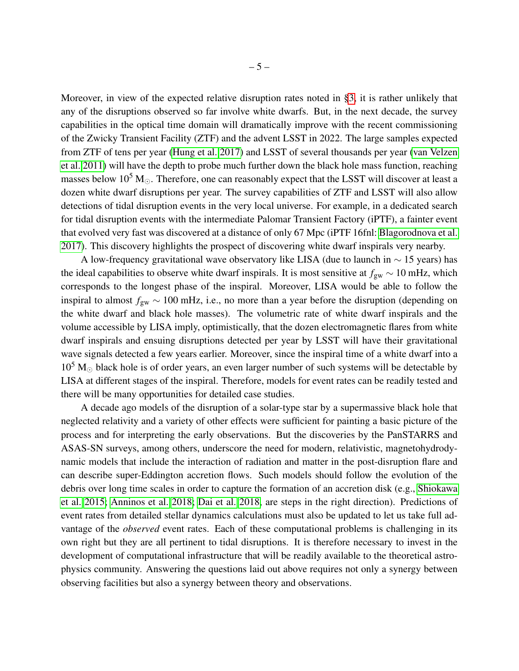Moreover, in view of the expected relative disruption rates noted in [§3,](#page-2-0) it is rather unlikely that any of the disruptions observed so far involve white dwarfs. But, in the next decade, the survey capabilities in the optical time domain will dramatically improve with the recent commissioning of the Zwicky Transient Facility (ZTF) and the advent LSST in 2022. The large samples expected from ZTF of tens per year [\(Hung et al. 2017\)](#page-6-12) and LSST of several thousands per year [\(van Velzen](#page-8-5) [et al. 2011\)](#page-8-5) will have the depth to probe much further down the black hole mass function, reaching masses below  $10^5$  M<sub> $\odot$ </sub>. Therefore, one can reasonably expect that the LSST will discover at least a dozen white dwarf disruptions per year. The survey capabilities of ZTF and LSST will also allow detections of tidal disruption events in the very local universe. For example, in a dedicated search for tidal disruption events with the intermediate Palomar Transient Factory (iPTF), a fainter event that evolved very fast was discovered at a distance of only 67 Mpc (iPTF 16fnl: [Blagorodnova et al.](#page-6-13) [2017\)](#page-6-13). This discovery highlights the prospect of discovering white dwarf inspirals very nearby.

A low-frequency gravitational wave observatory like LISA (due to launch in  $\sim$  15 years) has the ideal capabilities to observe white dwarf inspirals. It is most sensitive at  $f_{gw} \sim 10 \text{ mHz}$ , which corresponds to the longest phase of the inspiral. Moreover, LISA would be able to follow the inspiral to almost *f*gw ∼ 100 mHz, i.e., no more than a year before the disruption (depending on the white dwarf and black hole masses). The volumetric rate of white dwarf inspirals and the volume accessible by LISA imply, optimistically, that the dozen electromagnetic flares from white dwarf inspirals and ensuing disruptions detected per year by LSST will have their gravitational wave signals detected a few years earlier. Moreover, since the inspiral time of a white dwarf into a  $10<sup>5</sup>$  M<sub> $\odot$ </sub> black hole is of order years, an even larger number of such systems will be detectable by LISA at different stages of the inspiral. Therefore, models for event rates can be readily tested and there will be many opportunities for detailed case studies.

A decade ago models of the disruption of a solar-type star by a supermassive black hole that neglected relativity and a variety of other effects were sufficient for painting a basic picture of the process and for interpreting the early observations. But the discoveries by the PanSTARRS and ASAS-SN surveys, among others, underscore the need for modern, relativistic, magnetohydrodynamic models that include the interaction of radiation and matter in the post-disruption flare and can describe super-Eddington accretion flows. Such models should follow the evolution of the debris over long time scales in order to capture the formation of an accretion disk (e.g., [Shiokawa](#page-7-14) [et al. 2015;](#page-7-14) [Anninos et al. 2018;](#page-6-1) [Dai et al. 2018,](#page-6-11) are steps in the right direction). Predictions of event rates from detailed stellar dynamics calculations must also be updated to let us take full advantage of the *observed* event rates. Each of these computational problems is challenging in its own right but they are all pertinent to tidal disruptions. It is therefore necessary to invest in the development of computational infrastructure that will be readily available to the theoretical astrophysics community. Answering the questions laid out above requires not only a synergy between observing facilities but also a synergy between theory and observations.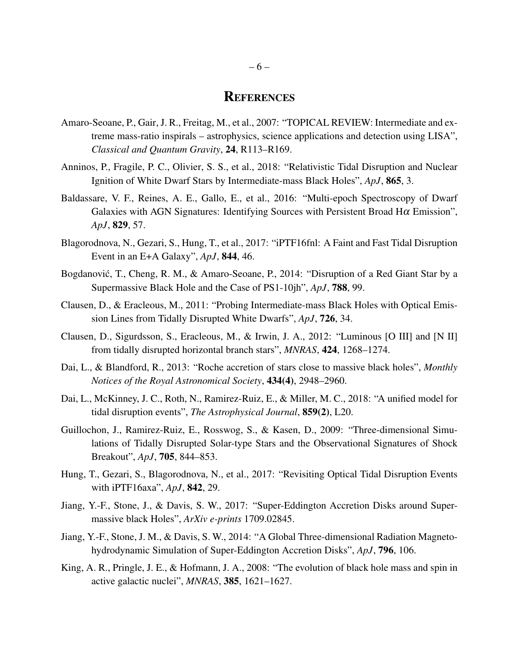## **REFERENCES**

- <span id="page-6-4"></span>Amaro-Seoane, P., Gair, J. R., Freitag, M., et al., 2007: "TOPICAL REVIEW: Intermediate and extreme mass-ratio inspirals – astrophysics, science applications and detection using LISA", *Classical and Quantum Gravity*, 24, R113–R169.
- <span id="page-6-1"></span>Anninos, P., Fragile, P. C., Olivier, S. S., et al., 2018: "Relativistic Tidal Disruption and Nuclear Ignition of White Dwarf Stars by Intermediate-mass Black Holes", *ApJ*, 865, 3.
- <span id="page-6-5"></span>Baldassare, V. F., Reines, A. E., Gallo, E., et al., 2016: "Multi-epoch Spectroscopy of Dwarf Galaxies with AGN Signatures: Identifying Sources with Persistent Broad H $\alpha$  Emission", *ApJ*, 829, 57.
- <span id="page-6-13"></span>Blagorodnova, N., Gezari, S., Hung, T., et al., 2017: "iPTF16fnl: A Faint and Fast Tidal Disruption Event in an E+A Galaxy", *ApJ*, 844, 46.
- <span id="page-6-2"></span>Bogdanović, T., Cheng, R. M., & Amaro-Seoane, P., 2014: "Disruption of a Red Giant Star by a Supermassive Black Hole and the Case of PS1-10jh", *ApJ*, 788, 99.
- <span id="page-6-6"></span>Clausen, D., & Eracleous, M., 2011: "Probing Intermediate-mass Black Holes with Optical Emission Lines from Tidally Disrupted White Dwarfs", *ApJ*, 726, 34.
- <span id="page-6-7"></span>Clausen, D., Sigurdsson, S., Eracleous, M., & Irwin, J. A., 2012: "Luminous [O III] and [N II] from tidally disrupted horizontal branch stars", *MNRAS*, 424, 1268–1274.
- <span id="page-6-3"></span>Dai, L., & Blandford, R., 2013: "Roche accretion of stars close to massive black holes", *Monthly Notices of the Royal Astronomical Society*, 434(4), 2948–2960.
- <span id="page-6-11"></span>Dai, L., McKinney, J. C., Roth, N., Ramirez-Ruiz, E., & Miller, M. C., 2018: "A unified model for tidal disruption events", *The Astrophysical Journal*, 859(2), L20.
- <span id="page-6-0"></span>Guillochon, J., Ramirez-Ruiz, E., Rosswog, S., & Kasen, D., 2009: "Three-dimensional Simulations of Tidally Disrupted Solar-type Stars and the Observational Signatures of Shock Breakout", *ApJ*, 705, 844–853.
- <span id="page-6-12"></span>Hung, T., Gezari, S., Blagorodnova, N., et al., 2017: "Revisiting Optical Tidal Disruption Events with iPTF16axa", *ApJ*, 842, 29.
- <span id="page-6-10"></span>Jiang, Y.-F., Stone, J., & Davis, S. W., 2017: "Super-Eddington Accretion Disks around Supermassive black Holes", *ArXiv e-prints* 1709.02845.
- <span id="page-6-9"></span>Jiang, Y.-F., Stone, J. M., & Davis, S. W., 2014: "A Global Three-dimensional Radiation Magnetohydrodynamic Simulation of Super-Eddington Accretion Disks", *ApJ*, 796, 106.
- <span id="page-6-8"></span>King, A. R., Pringle, J. E., & Hofmann, J. A., 2008: "The evolution of black hole mass and spin in active galactic nuclei", *MNRAS*, 385, 1621–1627.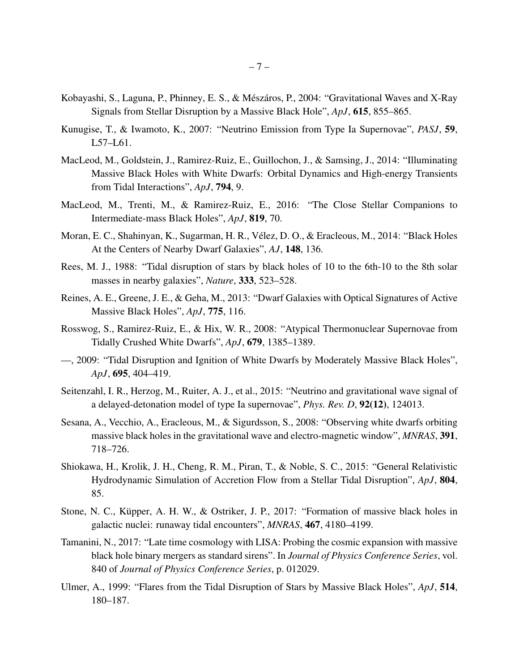- <span id="page-7-2"></span>Kobayashi, S., Laguna, P., Phinney, E. S., & Mészáros, P., 2004: "Gravitational Waves and X-Ray Signals from Stellar Disruption by a Massive Black Hole", *ApJ*, 615, 855–865.
- <span id="page-7-6"></span>Kunugise, T., & Iwamoto, K., 2007: "Neutrino Emission from Type Ia Supernovae", *PASJ*, 59, L57–L61.
- <span id="page-7-9"></span>MacLeod, M., Goldstein, J., Ramirez-Ruiz, E., Guillochon, J., & Samsing, J., 2014: "Illuminating Massive Black Holes with White Dwarfs: Orbital Dynamics and High-energy Transients from Tidal Interactions", *ApJ*, 794, 9.
- <span id="page-7-5"></span>MacLeod, M., Trenti, M., & Ramirez-Ruiz, E., 2016: "The Close Stellar Companions to Intermediate-mass Black Holes", *ApJ*, 819, 70.
- <span id="page-7-11"></span>Moran, E. C., Shahinyan, K., Sugarman, H. R., Vélez, D. O., & Eracleous, M., 2014: "Black Holes At the Centers of Nearby Dwarf Galaxies", *AJ*, 148, 136.
- <span id="page-7-0"></span>Rees, M. J., 1988: "Tidal disruption of stars by black holes of 10 to the 6th-10 to the 8th solar masses in nearby galaxies", *Nature*, 333, 523–528.
- <span id="page-7-10"></span>Reines, A. E., Greene, J. E., & Geha, M., 2013: "Dwarf Galaxies with Optical Signatures of Active Massive Black Holes", *ApJ*, 775, 116.
- <span id="page-7-4"></span>Rosswog, S., Ramirez-Ruiz, E., & Hix, W. R., 2008: "Atypical Thermonuclear Supernovae from Tidally Crushed White Dwarfs", *ApJ*, 679, 1385–1389.
- <span id="page-7-3"></span>—, 2009: "Tidal Disruption and Ignition of White Dwarfs by Moderately Massive Black Holes", *ApJ*, 695, 404–419.
- <span id="page-7-7"></span>Seitenzahl, I. R., Herzog, M., Ruiter, A. J., et al., 2015: "Neutrino and gravitational wave signal of a delayed-detonation model of type Ia supernovae", *Phys. Rev. D*, 92(12), 124013.
- <span id="page-7-8"></span>Sesana, A., Vecchio, A., Eracleous, M., & Sigurdsson, S., 2008: "Observing white dwarfs orbiting massive black holes in the gravitational wave and electro-magnetic window", *MNRAS*, 391, 718–726.
- <span id="page-7-14"></span>Shiokawa, H., Krolik, J. H., Cheng, R. M., Piran, T., & Noble, S. C., 2015: "General Relativistic Hydrodynamic Simulation of Accretion Flow from a Stellar Tidal Disruption", *ApJ*, 804, 85.
- <span id="page-7-12"></span>Stone, N. C., Küpper, A. H. W., & Ostriker, J. P., 2017: "Formation of massive black holes in galactic nuclei: runaway tidal encounters", *MNRAS*, 467, 4180–4199.
- <span id="page-7-13"></span>Tamanini, N., 2017: "Late time cosmology with LISA: Probing the cosmic expansion with massive black hole binary mergers as standard sirens". In *Journal of Physics Conference Series*, vol. 840 of *Journal of Physics Conference Series*, p. 012029.
- <span id="page-7-1"></span>Ulmer, A., 1999: "Flares from the Tidal Disruption of Stars by Massive Black Holes", *ApJ*, 514, 180–187.